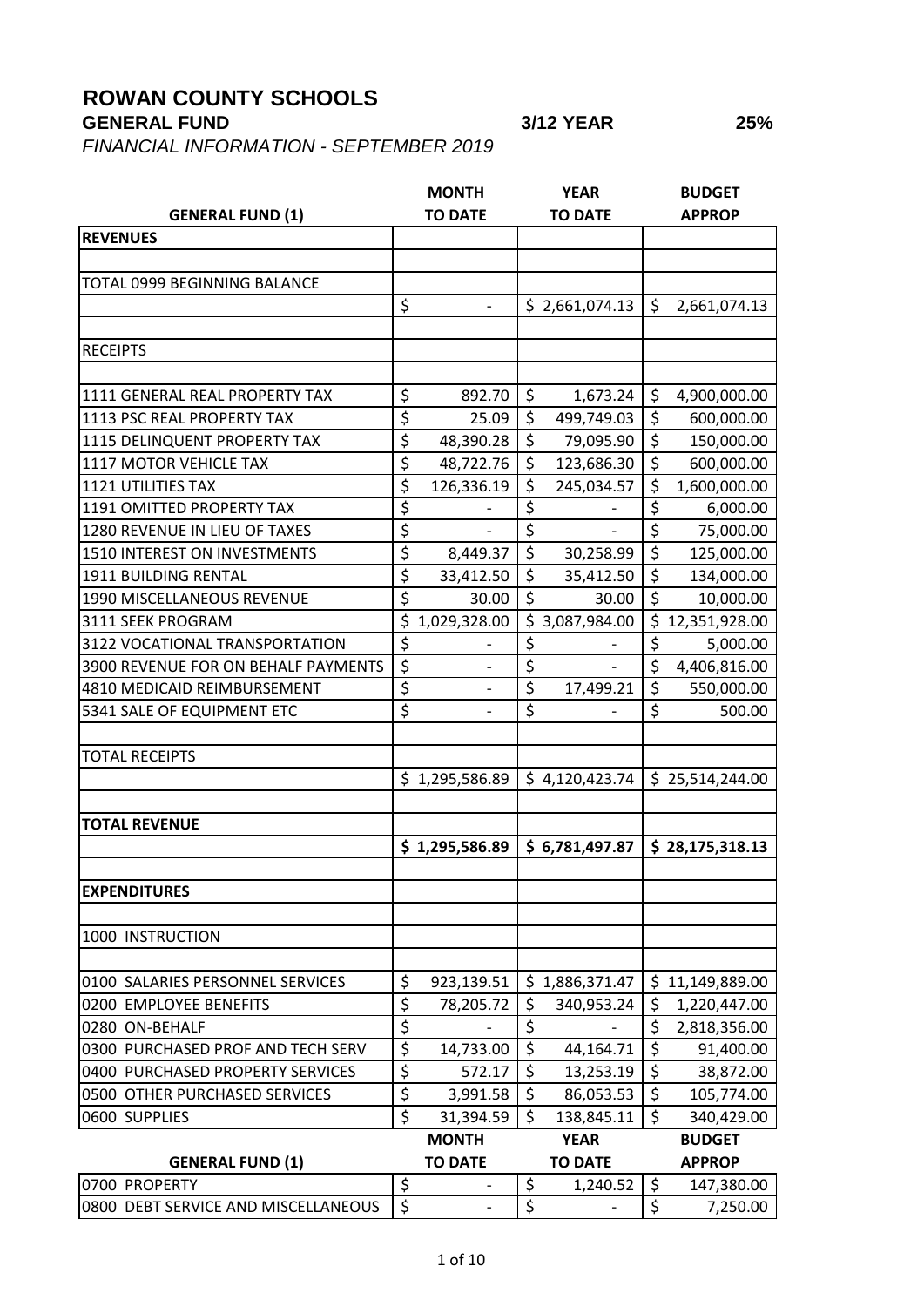## **ROWAN COUNTY SCHOOLS**

**GENERAL FUND 3/12 YEAR 25%**

*FINANCIAL INFORMATION - SEPTEMBER 2019*

|                                     |                                     | <b>MONTH</b>             |                                 | <b>YEAR</b>    |                                 | <b>BUDGET</b>   |
|-------------------------------------|-------------------------------------|--------------------------|---------------------------------|----------------|---------------------------------|-----------------|
| <b>GENERAL FUND (1)</b>             |                                     | <b>TO DATE</b>           |                                 | <b>TO DATE</b> |                                 | <b>APPROP</b>   |
| <b>REVENUES</b>                     |                                     |                          |                                 |                |                                 |                 |
|                                     |                                     |                          |                                 |                |                                 |                 |
| TOTAL 0999 BEGINNING BALANCE        |                                     |                          |                                 |                |                                 |                 |
|                                     | \$                                  |                          |                                 | \$2,661,074.13 | \$                              | 2,661,074.13    |
|                                     |                                     |                          |                                 |                |                                 |                 |
| <b>RECEIPTS</b>                     |                                     |                          |                                 |                |                                 |                 |
|                                     |                                     |                          |                                 |                |                                 |                 |
| 1111 GENERAL REAL PROPERTY TAX      | \$                                  | 892.70                   | \$                              | 1,673.24       | \$                              | 4,900,000.00    |
| <b>1113 PSC REAL PROPERTY TAX</b>   | \$                                  | 25.09                    | \$                              | 499,749.03     | \$                              | 600,000.00      |
| 1115 DELINQUENT PROPERTY TAX        | $\overline{\boldsymbol{\zeta}}$     | 48,390.28                | \$                              | 79,095.90      | \$                              | 150,000.00      |
| 1117 MOTOR VEHICLE TAX              | \$                                  | 48,722.76                | \$                              | 123,686.30     | $\overline{\boldsymbol{\zeta}}$ | 600,000.00      |
| <b>1121 UTILITIES TAX</b>           | \$                                  | 126,336.19               | \$                              | 245,034.57     | \$                              | 1,600,000.00    |
| <b>1191 OMITTED PROPERTY TAX</b>    | \$                                  |                          | \$                              |                | \$                              | 6,000.00        |
| 1280 REVENUE IN LIEU OF TAXES       | \$                                  |                          | $\overline{\xi}$                |                | \$                              | 75,000.00       |
| 1510 INTEREST ON INVESTMENTS        | $\overline{\boldsymbol{\zeta}}$     | 8,449.37                 | \$                              | 30,258.99      | \$                              | 125,000.00      |
| <b>1911 BUILDING RENTAL</b>         | \$                                  | 33,412.50                | \$                              | 35,412.50      | \$                              | 134,000.00      |
| 1990 MISCELLANEOUS REVENUE          | $\overline{\boldsymbol{\varsigma}}$ | 30.00                    | $\overline{\boldsymbol{\zeta}}$ | 30.00          | $\overline{\mathsf{S}}$         | 10,000.00       |
| 3111 SEEK PROGRAM                   | \$                                  | 1,029,328.00             | \$                              | 3,087,984.00   | \$                              | 12,351,928.00   |
| 3122 VOCATIONAL TRANSPORTATION      | \$                                  |                          | \$                              |                | \$                              | 5,000.00        |
| 3900 REVENUE FOR ON BEHALF PAYMENTS | \$                                  |                          | $\overline{\boldsymbol{\zeta}}$ |                | \$                              | 4,406,816.00    |
| 4810 MEDICAID REIMBURSEMENT         | \$                                  | $\overline{\phantom{0}}$ | \$                              | 17,499.21      | \$                              | 550,000.00      |
| 5341 SALE OF EQUIPMENT ETC          | \$                                  |                          | \$                              |                | \$                              | 500.00          |
|                                     |                                     |                          |                                 |                |                                 |                 |
| <b>TOTAL RECEIPTS</b>               |                                     |                          |                                 |                |                                 |                 |
|                                     |                                     | \$1,295,586.89           |                                 | \$4,120,423.74 |                                 | \$25,514,244.00 |
| <b>TOTAL REVENUE</b>                |                                     |                          |                                 |                |                                 |                 |
|                                     |                                     | \$1,295,586.89           |                                 | \$6,781,497.87 |                                 | \$28,175,318.13 |
|                                     |                                     |                          |                                 |                |                                 |                 |
| <b>EXPENDITURES</b>                 |                                     |                          |                                 |                |                                 |                 |
|                                     |                                     |                          |                                 |                |                                 |                 |
| 1000 INSTRUCTION                    |                                     |                          |                                 |                |                                 |                 |
|                                     |                                     |                          |                                 |                |                                 |                 |
| 0100 SALARIES PERSONNEL SERVICES    | \$                                  | 923,139.51               | \$                              | 1,886,371.47   | \$                              | 11,149,889.00   |
| 0200 EMPLOYEE BENEFITS              | \$                                  | 78,205.72                | \$                              | 340,953.24     | \$                              | 1,220,447.00    |
| 0280 ON-BEHALF                      | \$                                  |                          | \$                              |                | \$                              | 2,818,356.00    |
| 0300 PURCHASED PROF AND TECH SERV   | \$                                  | 14,733.00                | $\overline{\xi}$                | 44,164.71      | \$                              | 91,400.00       |
| 0400 PURCHASED PROPERTY SERVICES    | \$                                  | 572.17                   | \$                              | 13,253.19      | \$                              | 38,872.00       |
| 0500 OTHER PURCHASED SERVICES       | \$                                  | 3,991.58                 | \$                              | 86,053.53      | \$                              | 105,774.00      |
| 0600 SUPPLIES                       | \$                                  | 31,394.59                | \$                              | 138,845.11     | \$                              | 340,429.00      |
|                                     |                                     | <b>MONTH</b>             |                                 | <b>YEAR</b>    |                                 | <b>BUDGET</b>   |
| <b>GENERAL FUND (1)</b>             |                                     | <b>TO DATE</b>           |                                 | <b>TO DATE</b> |                                 | <b>APPROP</b>   |
| 0700 PROPERTY                       | \$                                  |                          | \$                              |                | \$                              |                 |
|                                     | $\overline{\boldsymbol{\zeta}}$     |                          |                                 | 1,240.52       |                                 | 147,380.00      |
| 0800 DEBT SERVICE AND MISCELLANEOUS |                                     |                          | \$                              |                | \$                              | 7,250.00        |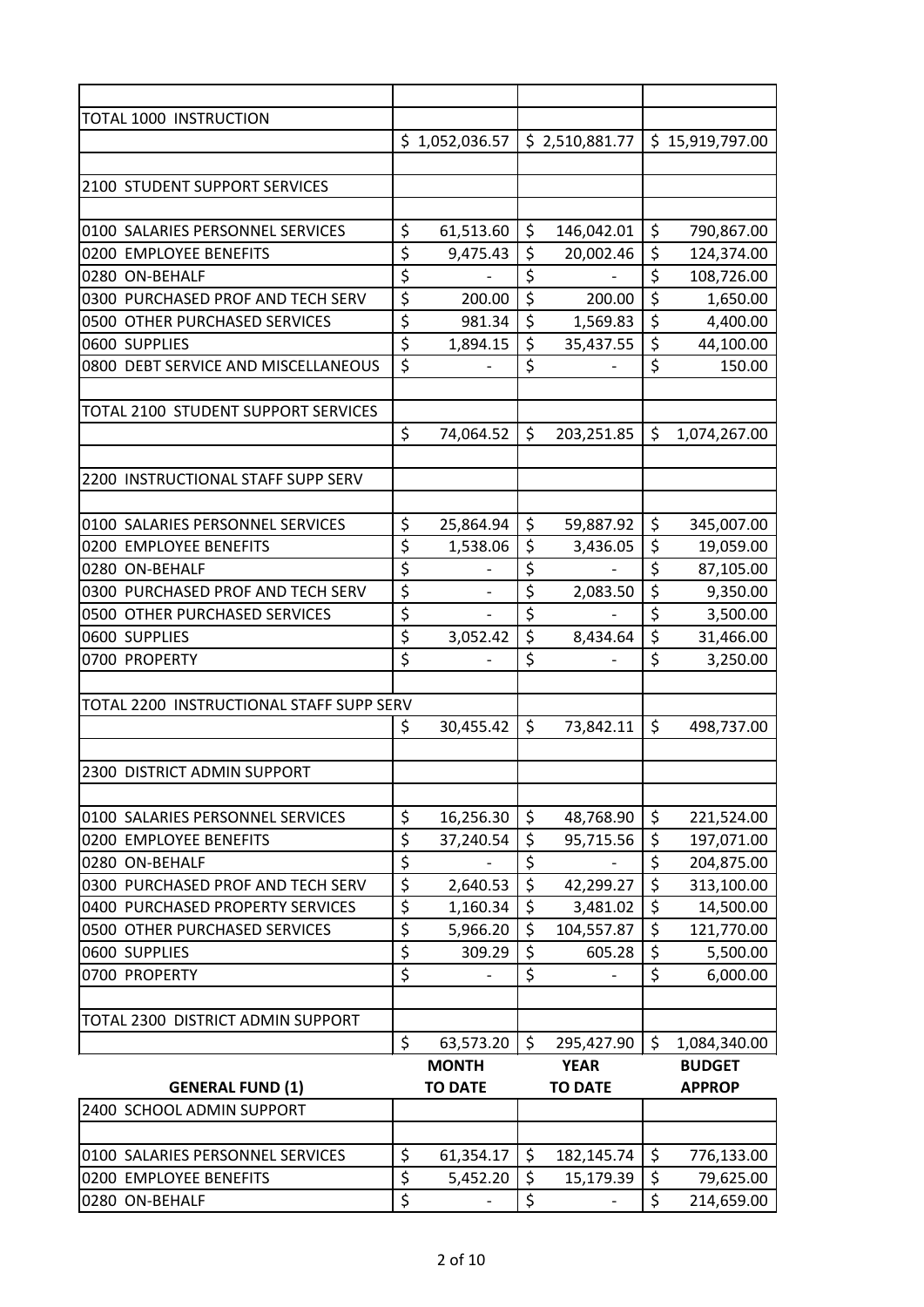| TOTAL 1000 INSTRUCTION                   |                                 |                              |                                     |                          |                         |                 |
|------------------------------------------|---------------------------------|------------------------------|-------------------------------------|--------------------------|-------------------------|-----------------|
|                                          |                                 | \$1,052,036.57               |                                     | \$2,510,881.77           |                         | \$15,919,797.00 |
|                                          |                                 |                              |                                     |                          |                         |                 |
| 2100 STUDENT SUPPORT SERVICES            |                                 |                              |                                     |                          |                         |                 |
|                                          |                                 |                              |                                     |                          |                         |                 |
| 0100 SALARIES PERSONNEL SERVICES         | \$                              | 61,513.60                    | \$                                  | 146,042.01               | \$                      | 790,867.00      |
| 0200 EMPLOYEE BENEFITS                   | \$                              | 9,475.43                     | \$                                  | 20,002.46                | \$                      | 124,374.00      |
| 0280 ON-BEHALF                           | $\overline{\boldsymbol{\zeta}}$ | $\overline{\phantom{a}}$     | \$                                  | $\overline{\phantom{a}}$ | \$                      | 108,726.00      |
| 0300 PURCHASED PROF AND TECH SERV        | $\overline{\xi}$                | 200.00                       | $\overline{\boldsymbol{\varsigma}}$ | 200.00                   | $\overline{\mathsf{S}}$ | 1,650.00        |
| 0500 OTHER PURCHASED SERVICES            | \$                              | 981.34                       | \$                                  | 1,569.83                 | \$                      | 4,400.00        |
| 0600 SUPPLIES                            | \$                              | 1,894.15                     | \$                                  | 35,437.55                | \$                      | 44,100.00       |
| 0800 DEBT SERVICE AND MISCELLANEOUS      | \$                              |                              | $\overline{\xi}$                    |                          | \$                      | 150.00          |
|                                          |                                 |                              |                                     |                          |                         |                 |
| TOTAL 2100 STUDENT SUPPORT SERVICES      |                                 |                              |                                     |                          |                         |                 |
|                                          | \$                              | 74,064.52                    | \$                                  | 203,251.85               | \$                      | 1,074,267.00    |
|                                          |                                 |                              |                                     |                          |                         |                 |
| 2200 INSTRUCTIONAL STAFF SUPP SERV       |                                 |                              |                                     |                          |                         |                 |
|                                          |                                 |                              |                                     |                          |                         |                 |
| 0100 SALARIES PERSONNEL SERVICES         | \$                              |                              | \$                                  |                          | \$                      |                 |
| 0200 EMPLOYEE BENEFITS                   | \$                              | 25,864.94<br>1,538.06        | \$                                  | 59,887.92<br>3,436.05    | \$                      | 345,007.00      |
|                                          | $\overline{\xi}$                |                              | \$                                  |                          | \$                      | 19,059.00       |
| 0280 ON-BEHALF                           |                                 |                              |                                     |                          |                         | 87,105.00       |
| 0300 PURCHASED PROF AND TECH SERV        | \$                              | $\overline{\phantom{a}}$     | \$                                  | 2,083.50                 | \$                      | 9,350.00        |
| 0500 OTHER PURCHASED SERVICES            | \$                              |                              | \$                                  |                          | \$                      | 3,500.00        |
| 0600 SUPPLIES                            | \$                              | 3,052.42                     | \$                                  | 8,434.64                 | \$                      | 31,466.00       |
| 0700 PROPERTY                            | \$                              |                              | \$                                  |                          | \$                      | 3,250.00        |
|                                          |                                 |                              |                                     |                          |                         |                 |
| TOTAL 2200 INSTRUCTIONAL STAFF SUPP SERV |                                 |                              |                                     |                          |                         |                 |
|                                          | \$                              | 30,455.42                    | \$                                  | 73,842.11                | \$                      | 498,737.00      |
|                                          |                                 |                              |                                     |                          |                         |                 |
| <b>2300 DISTRICT ADMIN SUPPORT</b>       |                                 |                              |                                     |                          |                         |                 |
|                                          |                                 |                              |                                     |                          |                         |                 |
| 0100 SALARIES PERSONNEL SERVICES         | \$                              | 16,256.30                    | \$                                  | 48,768.90                | \$                      | 221,524.00      |
| 0200 EMPLOYEE BENEFITS                   | \$                              | 37,240.54                    | \$                                  | 95,715.56                | \$                      | 197,071.00      |
| 0280 ON-BEHALF                           | \$                              | $\qquad \qquad \blacksquare$ | $\overline{\boldsymbol{\zeta}}$     | $\overline{\phantom{a}}$ | \$                      | 204,875.00      |
| 0300 PURCHASED PROF AND TECH SERV        | \$                              | 2,640.53                     | \$                                  | 42,299.27                | \$                      | 313,100.00      |
| 0400 PURCHASED PROPERTY SERVICES         | \$                              | 1,160.34                     | $\overline{\boldsymbol{\zeta}}$     | 3,481.02                 | \$                      | 14,500.00       |
| 0500 OTHER PURCHASED SERVICES            | $\overline{\xi}$                | 5,966.20                     | $\overline{\xi}$                    | 104,557.87               | \$                      | 121,770.00      |
| 0600 SUPPLIES                            | $\overline{\boldsymbol{\zeta}}$ | 309.29                       | $\overline{\boldsymbol{\zeta}}$     | 605.28                   | \$                      | 5,500.00        |
| 0700 PROPERTY                            | $\overline{\xi}$                | $\overline{\phantom{a}}$     | $\overline{\xi}$                    | $\qquad \qquad -$        | \$                      | 6,000.00        |
|                                          |                                 |                              |                                     |                          |                         |                 |
| TOTAL 2300 DISTRICT ADMIN SUPPORT        |                                 |                              |                                     |                          |                         |                 |
|                                          | $\zeta$                         | 63,573.20                    | \$                                  | 295,427.90               | \$                      | 1,084,340.00    |
|                                          |                                 | <b>MONTH</b>                 |                                     | <b>YEAR</b>              |                         | <b>BUDGET</b>   |
| <b>GENERAL FUND (1)</b>                  |                                 | <b>TO DATE</b>               |                                     | <b>TO DATE</b>           |                         | <b>APPROP</b>   |
| 2400 SCHOOL ADMIN SUPPORT                |                                 |                              |                                     |                          |                         |                 |
|                                          |                                 |                              |                                     |                          |                         |                 |
| 0100 SALARIES PERSONNEL SERVICES         | $\zeta$                         | 61,354.17                    | \$                                  | 182,145.74               | \$                      | 776,133.00      |
| 0200 EMPLOYEE BENEFITS                   | \$                              | 5,452.20                     | \$                                  | 15,179.39                | \$                      | 79,625.00       |
| 0280 ON-BEHALF                           | \$                              |                              | \$                                  |                          | \$                      | 214,659.00      |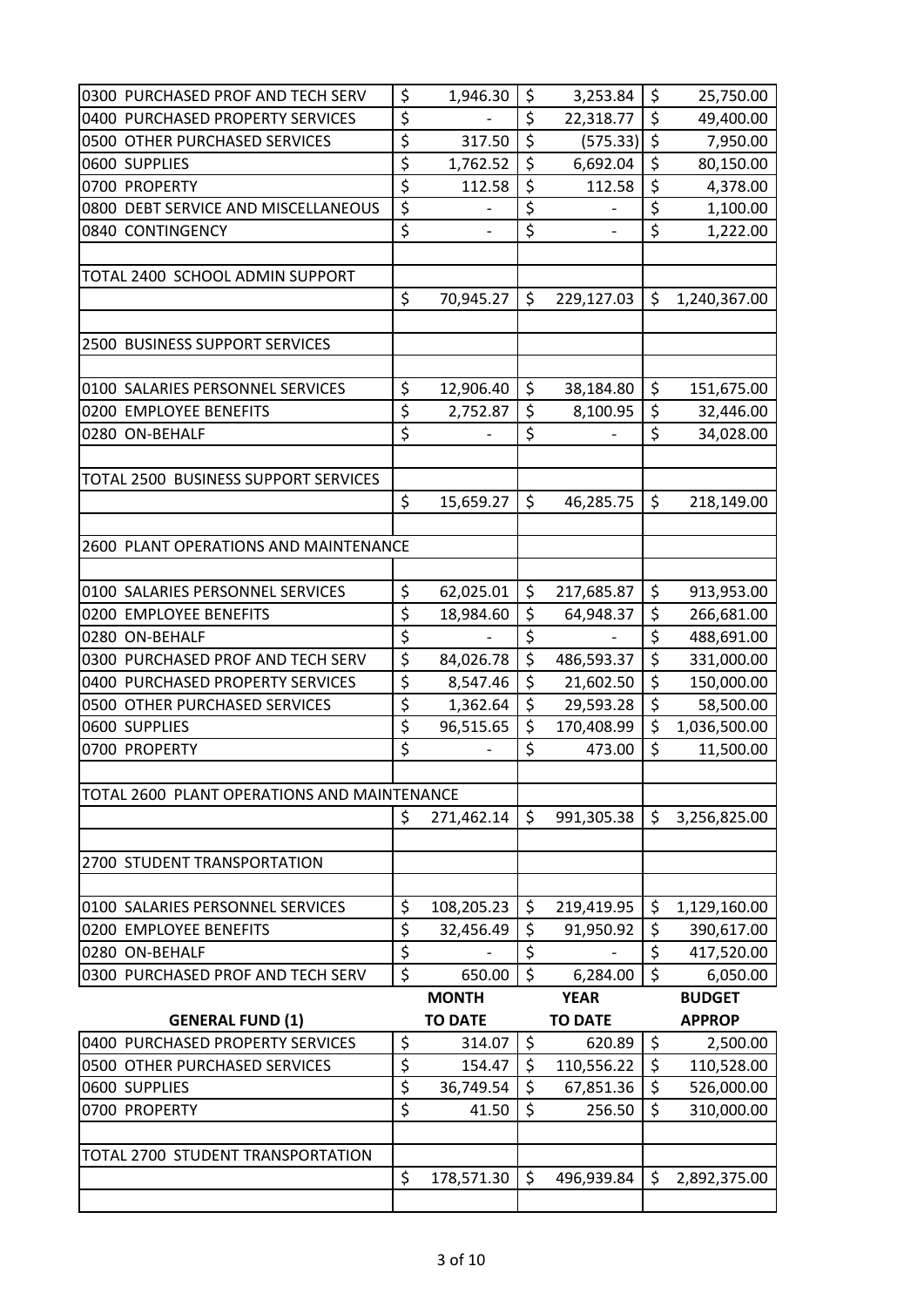| 0300 PURCHASED PROF AND TECH SERV           | \$               | 1,946.30                 | \$               | 3,253.84                 | \$<br>25,750.00    |
|---------------------------------------------|------------------|--------------------------|------------------|--------------------------|--------------------|
| 0400 PURCHASED PROPERTY SERVICES            | \$               |                          | $\overline{\xi}$ | 22,318.77                | \$<br>49,400.00    |
| 0500 OTHER PURCHASED SERVICES               | \$               | 317.50                   | $\overline{\xi}$ | (575.33)                 | \$<br>7,950.00     |
| 0600 SUPPLIES                               | \$               | 1,762.52                 | \$               | 6,692.04                 | \$<br>80,150.00    |
| 0700 PROPERTY                               | \$               | 112.58                   | \$               | 112.58                   | \$<br>4,378.00     |
| 0800 DEBT SERVICE AND MISCELLANEOUS         | $\overline{\xi}$ |                          | \$               |                          | \$<br>1,100.00     |
| 0840 CONTINGENCY                            | \$               | $\overline{\phantom{0}}$ | \$               | $\overline{\phantom{0}}$ | \$<br>1,222.00     |
|                                             |                  |                          |                  |                          |                    |
| TOTAL 2400 SCHOOL ADMIN SUPPORT             |                  |                          |                  |                          |                    |
|                                             | \$               | 70,945.27                | \$               | 229,127.03               | \$<br>1,240,367.00 |
|                                             |                  |                          |                  |                          |                    |
| 2500 BUSINESS SUPPORT SERVICES              |                  |                          |                  |                          |                    |
|                                             |                  |                          |                  |                          |                    |
| 0100 SALARIES PERSONNEL SERVICES            | \$               | 12,906.40                | \$               | 38,184.80                | \$<br>151,675.00   |
| 0200 EMPLOYEE BENEFITS                      | \$               | 2,752.87                 | $\overline{\xi}$ | 8,100.95                 | \$<br>32,446.00    |
| 0280 ON-BEHALF                              | \$               | $\overline{\phantom{0}}$ | \$               | $\overline{\phantom{0}}$ | \$<br>34,028.00    |
|                                             |                  |                          |                  |                          |                    |
| TOTAL 2500 BUSINESS SUPPORT SERVICES        |                  |                          |                  |                          |                    |
|                                             | \$               | 15,659.27                | \$               | 46,285.75                | \$<br>218,149.00   |
|                                             |                  |                          |                  |                          |                    |
|                                             |                  |                          |                  |                          |                    |
| 2600 PLANT OPERATIONS AND MAINTENANCE       |                  |                          |                  |                          |                    |
|                                             |                  |                          |                  |                          |                    |
| 0100 SALARIES PERSONNEL SERVICES            | \$               | 62,025.01                | \$               | 217,685.87               | \$<br>913,953.00   |
| 0200 EMPLOYEE BENEFITS                      | \$               | 18,984.60                | \$               | 64,948.37                | \$<br>266,681.00   |
| 0280 ON-BEHALF                              | $\overline{\xi}$ |                          | \$               | $\overline{\phantom{0}}$ | \$<br>488,691.00   |
| 0300 PURCHASED PROF AND TECH SERV           | \$               | 84,026.78                | \$               | 486,593.37               | \$<br>331,000.00   |
| 0400 PURCHASED PROPERTY SERVICES            | \$               | 8,547.46                 | $\overline{\xi}$ | 21,602.50                | \$<br>150,000.00   |
| 0500 OTHER PURCHASED SERVICES               | \$               | 1,362.64                 | \$               | 29,593.28                | \$<br>58,500.00    |
| 0600 SUPPLIES                               | $\overline{\xi}$ | 96,515.65                | \$               | 170,408.99               | \$<br>1,036,500.00 |
| 0700 PROPERTY                               | \$               |                          | \$               | 473.00                   | \$<br>11,500.00    |
|                                             |                  |                          |                  |                          |                    |
| TOTAL 2600 PLANT OPERATIONS AND MAINTENANCE |                  |                          |                  |                          |                    |
|                                             | \$               | 271,462.14               | \$               | 991,305.38               | \$<br>3,256,825.00 |
|                                             |                  |                          |                  |                          |                    |
| 2700 STUDENT TRANSPORTATION                 |                  |                          |                  |                          |                    |
|                                             |                  |                          |                  |                          |                    |
| 0100 SALARIES PERSONNEL SERVICES            | \$               | 108,205.23               | \$               | 219,419.95               | \$<br>1,129,160.00 |
| 0200 EMPLOYEE BENEFITS                      | \$               | 32,456.49                | \$               | 91,950.92                | \$<br>390,617.00   |
| 0280 ON-BEHALF                              | \$               |                          | $\overline{\xi}$ |                          | \$<br>417,520.00   |
| 0300 PURCHASED PROF AND TECH SERV           | \$               | 650.00                   | $\zeta$          | 6,284.00                 | \$<br>6,050.00     |
|                                             |                  | <b>MONTH</b>             |                  | <b>YEAR</b>              | <b>BUDGET</b>      |
| <b>GENERAL FUND (1)</b>                     |                  | <b>TO DATE</b>           |                  | <b>TO DATE</b>           | <b>APPROP</b>      |
| 0400 PURCHASED PROPERTY SERVICES            | \$               | 314.07                   | $\zeta$          | 620.89                   | \$<br>2,500.00     |
| 0500 OTHER PURCHASED SERVICES               | \$               | 154.47                   | \$               | 110,556.22               | \$<br>110,528.00   |
| 0600 SUPPLIES                               | \$               | 36,749.54                | \$               | 67,851.36                | \$<br>526,000.00   |
| 0700 PROPERTY                               | \$               | 41.50                    | \$               | 256.50                   | \$<br>310,000.00   |
|                                             |                  |                          |                  |                          |                    |
| TOTAL 2700 STUDENT TRANSPORTATION           |                  |                          |                  |                          |                    |
|                                             | \$               | 178,571.30               | \$               | 496,939.84               | \$<br>2,892,375.00 |
|                                             |                  |                          |                  |                          |                    |
|                                             |                  |                          |                  |                          |                    |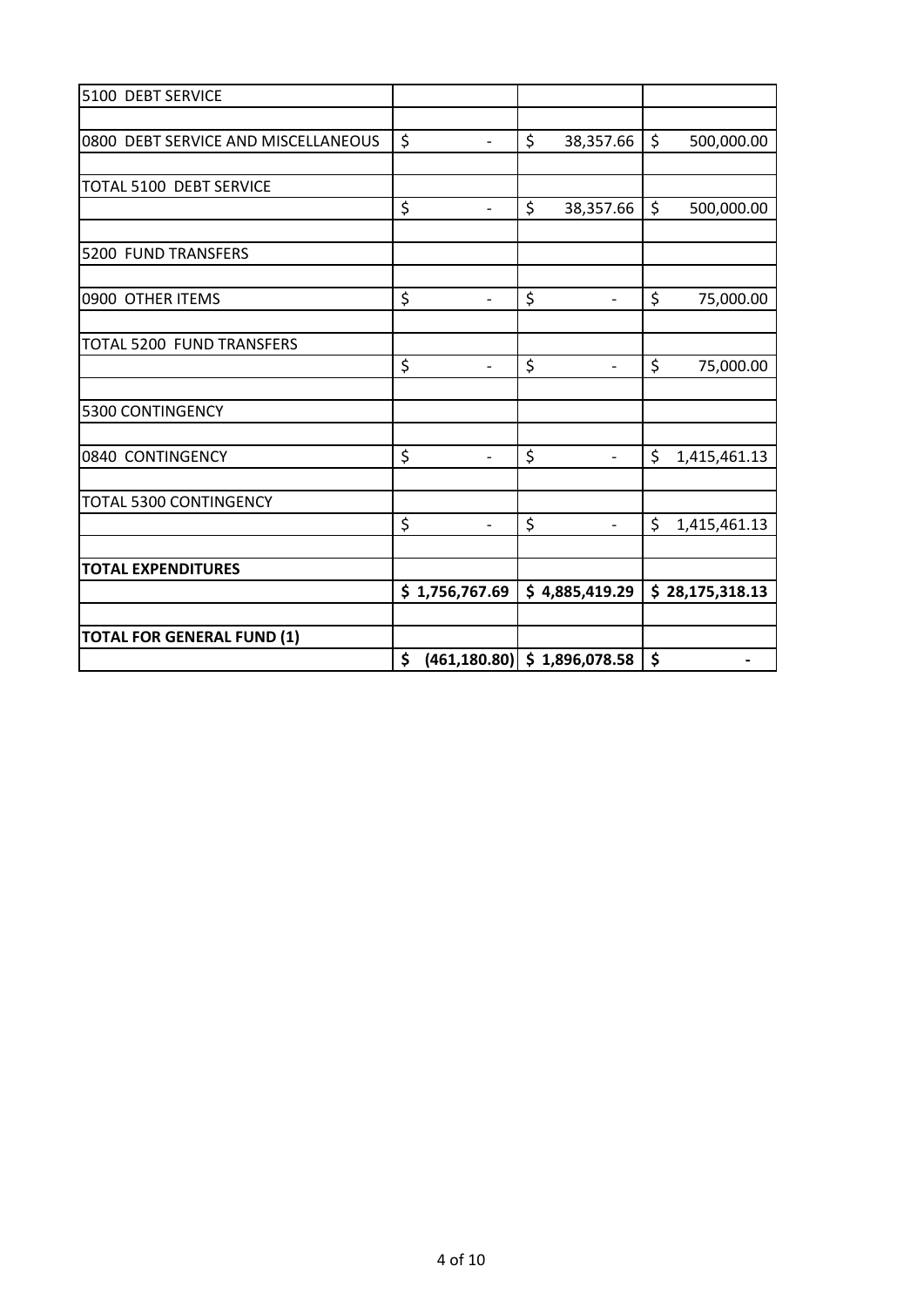| 5100 DEBT SERVICE                   |                                       |                                |                    |
|-------------------------------------|---------------------------------------|--------------------------------|--------------------|
|                                     |                                       |                                |                    |
| 0800 DEBT SERVICE AND MISCELLANEOUS | \$<br>$\blacksquare$                  | \$<br>38,357.66                | \$<br>500,000.00   |
|                                     |                                       |                                |                    |
| TOTAL 5100 DEBT SERVICE             |                                       |                                |                    |
|                                     | \$<br>$\overline{\phantom{a}}$        | \$<br>38,357.66                | \$<br>500,000.00   |
|                                     |                                       |                                |                    |
| 5200 FUND TRANSFERS                 |                                       |                                |                    |
|                                     |                                       |                                |                    |
| 0900 OTHER ITEMS                    | \$<br>$\overline{a}$                  | \$<br>$\overline{\phantom{0}}$ | \$<br>75,000.00    |
|                                     |                                       |                                |                    |
| TOTAL 5200 FUND TRANSFERS           |                                       |                                |                    |
|                                     | \$<br>$\overline{\phantom{a}}$        | \$<br>$\qquad \qquad -$        | \$<br>75,000.00    |
| 5300 CONTINGENCY                    |                                       |                                |                    |
|                                     |                                       |                                |                    |
| 0840 CONTINGENCY                    | \$<br>$\overline{a}$                  | \$<br>$\overline{\phantom{0}}$ | \$<br>1,415,461.13 |
|                                     |                                       |                                |                    |
| TOTAL 5300 CONTINGENCY              |                                       |                                |                    |
|                                     | \$<br>$\overline{\phantom{a}}$        | \$<br>$\overline{\phantom{a}}$ | \$<br>1,415,461.13 |
|                                     |                                       |                                |                    |
| <b>TOTAL EXPENDITURES</b>           |                                       |                                |                    |
|                                     | \$1,756,767.69                        | \$4,885,419.29                 | \$28,175,318.13    |
|                                     |                                       |                                |                    |
| <b>TOTAL FOR GENERAL FUND (1)</b>   |                                       |                                |                    |
|                                     | \$<br>$(461, 180.80)$ \$ 1,896,078.58 |                                | \$                 |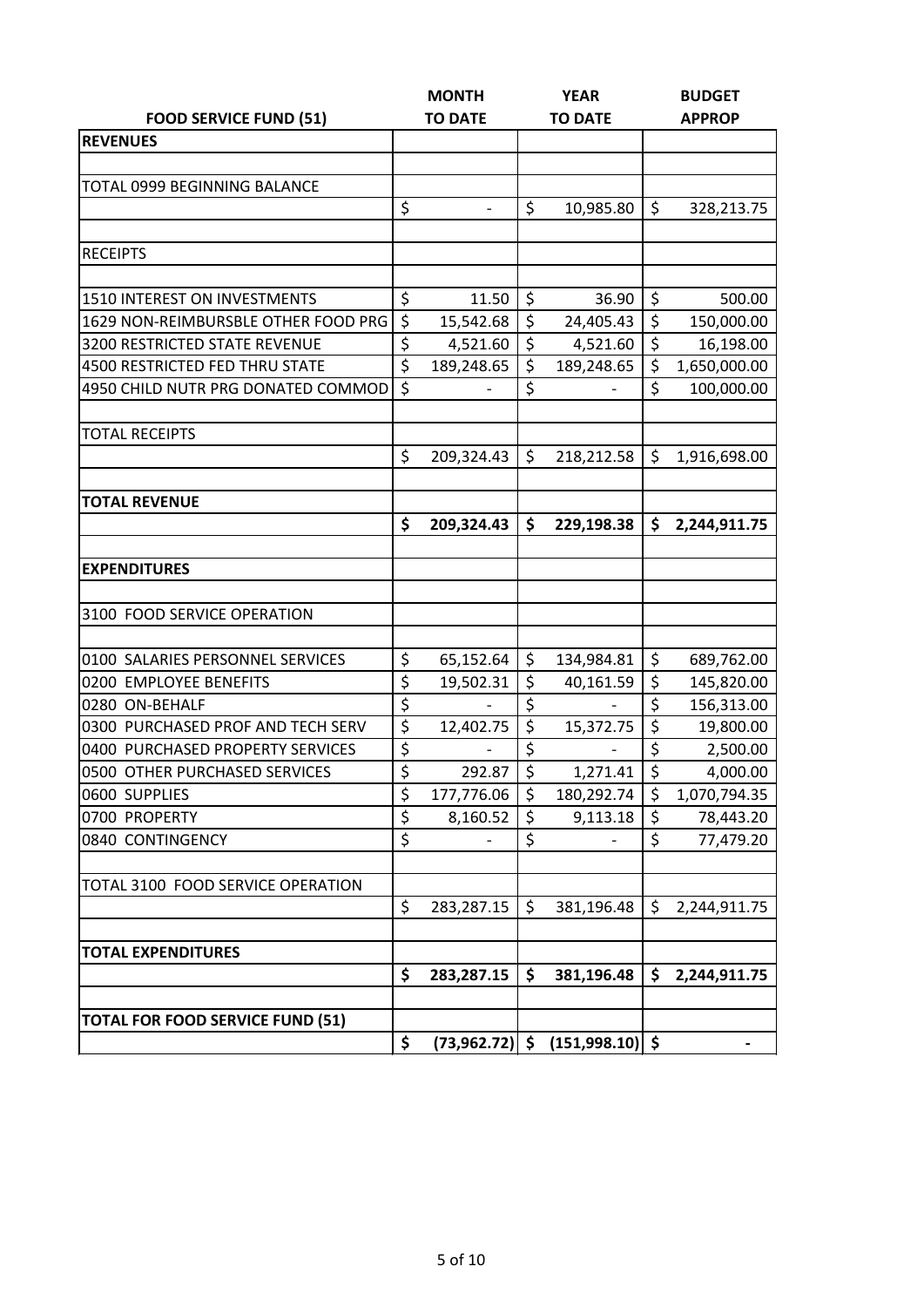|                                         |                  | <b>MONTH</b>     |                  | <b>YEAR</b>       | <b>BUDGET</b>      |
|-----------------------------------------|------------------|------------------|------------------|-------------------|--------------------|
| <b>FOOD SERVICE FUND (51)</b>           |                  | <b>TO DATE</b>   |                  | <b>TO DATE</b>    | <b>APPROP</b>      |
| <b>REVENUES</b>                         |                  |                  |                  |                   |                    |
|                                         |                  |                  |                  |                   |                    |
| <b>TOTAL 0999 BEGINNING BALANCE</b>     |                  |                  |                  |                   |                    |
|                                         | \$               | $\overline{a}$   | \$               | 10,985.80         | \$<br>328,213.75   |
|                                         |                  |                  |                  |                   |                    |
| <b>RECEIPTS</b>                         |                  |                  |                  |                   |                    |
|                                         |                  |                  |                  |                   |                    |
| <b>1510 INTEREST ON INVESTMENTS</b>     | \$               | 11.50            | \$               | 36.90             | \$<br>500.00       |
| 1629 NON-REIMBURSBLE OTHER FOOD PRG     | \$               | 15,542.68        | \$               | 24,405.43         | \$<br>150,000.00   |
| 3200 RESTRICTED STATE REVENUE           | \$               | 4,521.60         | \$               | 4,521.60          | \$<br>16,198.00    |
| 4500 RESTRICTED FED THRU STATE          | $\overline{\xi}$ | 189,248.65       | $\overline{\xi}$ | 189,248.65        | \$<br>1,650,000.00 |
| 4950 CHILD NUTR PRG DONATED COMMOD      | \$               |                  | \$               |                   | \$<br>100,000.00   |
|                                         |                  |                  |                  |                   |                    |
| <b>TOTAL RECEIPTS</b>                   |                  |                  |                  |                   |                    |
|                                         | \$               | 209,324.43       | \$               | 218,212.58        | \$<br>1,916,698.00 |
|                                         |                  |                  |                  |                   |                    |
| <b>TOTAL REVENUE</b>                    |                  |                  |                  |                   |                    |
|                                         | \$               | 209,324.43       | \$               | 229,198.38        | \$<br>2,244,911.75 |
|                                         |                  |                  |                  |                   |                    |
| <b>EXPENDITURES</b>                     |                  |                  |                  |                   |                    |
|                                         |                  |                  |                  |                   |                    |
| 3100 FOOD SERVICE OPERATION             |                  |                  |                  |                   |                    |
|                                         |                  |                  |                  |                   |                    |
| 0100 SALARIES PERSONNEL SERVICES        | \$               | 65,152.64        | \$               | 134,984.81        | \$<br>689,762.00   |
| 0200 EMPLOYEE BENEFITS                  | \$               | 19,502.31        | \$               | 40,161.59         | \$<br>145,820.00   |
| 0280 ON-BEHALF                          | \$               |                  | \$               |                   | \$<br>156,313.00   |
| 0300 PURCHASED PROF AND TECH SERV       | \$               | 12,402.75        | \$               | 15,372.75         | \$<br>19,800.00    |
| 0400 PURCHASED PROPERTY SERVICES        | \$               |                  | \$               |                   | \$<br>2,500.00     |
| 0500 OTHER PURCHASED SERVICES           | \$               | 292.87           | \$               | 1,271.41          | \$<br>4,000.00     |
| 0600 SUPPLIES                           | \$               | 177,776.06       | \$               | 180,292.74        | \$<br>1,070,794.35 |
| 0700 PROPERTY                           | \$               | 8,160.52         | \$               | 9,113.18          | \$<br>78,443.20    |
| 0840 CONTINGENCY                        | \$               |                  | \$               |                   | \$<br>77,479.20    |
|                                         |                  |                  |                  |                   |                    |
| TOTAL 3100 FOOD SERVICE OPERATION       |                  |                  |                  |                   |                    |
|                                         | \$               | 283,287.15       | \$               | 381,196.48        | \$<br>2,244,911.75 |
|                                         |                  |                  |                  |                   |                    |
| <b>TOTAL EXPENDITURES</b>               |                  |                  |                  |                   |                    |
|                                         | \$               | 283,287.15       | \$               | 381,196.48        | \$<br>2,244,911.75 |
|                                         |                  |                  |                  |                   |                    |
| <b>TOTAL FOR FOOD SERVICE FUND (51)</b> |                  |                  |                  |                   |                    |
|                                         | \$               | $(73,962.72)$ \$ |                  | $(151,998.10)$ \$ |                    |
|                                         |                  |                  |                  |                   |                    |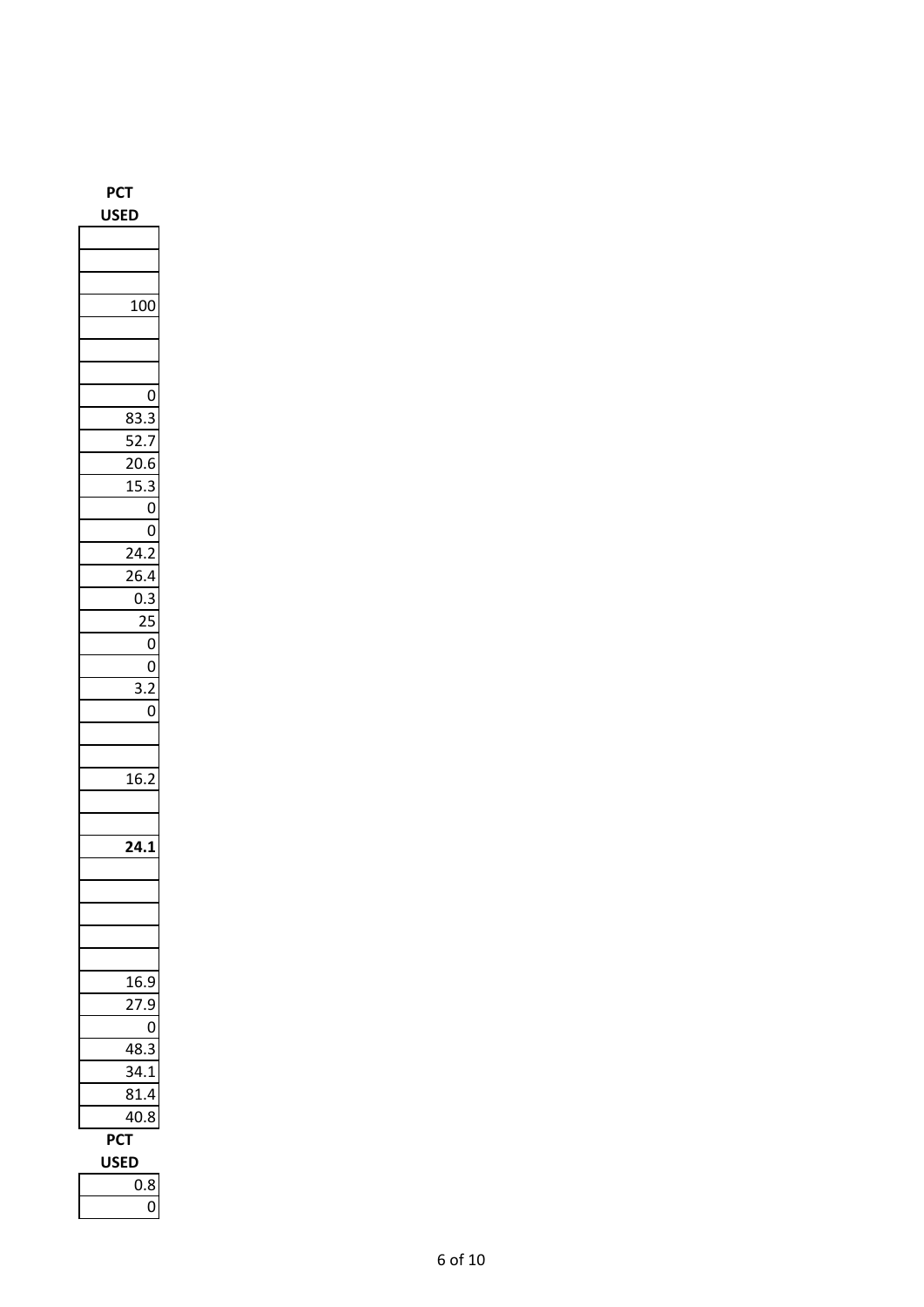| PC1<br>Г<br>USE<br>D |  |  |  |  |
|----------------------|--|--|--|--|
|                      |  |  |  |  |
|                      |  |  |  |  |
|                      |  |  |  |  |
| 100                  |  |  |  |  |
|                      |  |  |  |  |
|                      |  |  |  |  |
|                      |  |  |  |  |
| 0                    |  |  |  |  |
| Í<br>3<br>83.        |  |  |  |  |
| 52.7                 |  |  |  |  |
| 20.6                 |  |  |  |  |
| 1!<br>5.3            |  |  |  |  |
| 0                    |  |  |  |  |
| O                    |  |  |  |  |
| 24.2                 |  |  |  |  |
| 26.4                 |  |  |  |  |
| 0.3                  |  |  |  |  |
| 25                   |  |  |  |  |
| $\mathbf 0$          |  |  |  |  |
| $\mathbf{0}$         |  |  |  |  |
| 3.2                  |  |  |  |  |
| $\overline{0}$       |  |  |  |  |
|                      |  |  |  |  |
|                      |  |  |  |  |
| 16.5<br>ʻ            |  |  |  |  |
|                      |  |  |  |  |
|                      |  |  |  |  |
| 24.1                 |  |  |  |  |
|                      |  |  |  |  |
|                      |  |  |  |  |
|                      |  |  |  |  |
|                      |  |  |  |  |
|                      |  |  |  |  |
| 16.<br>ŗ<br>J        |  |  |  |  |
| )                    |  |  |  |  |
| ſ                    |  |  |  |  |
| Š.<br>18<br>l        |  |  |  |  |
| $\mathbf{1}$         |  |  |  |  |
| 31.4                 |  |  |  |  |
| 40.8                 |  |  |  |  |
| ъC.                  |  |  |  |  |
| F<br>D               |  |  |  |  |
| ).8<br>ſ             |  |  |  |  |
|                      |  |  |  |  |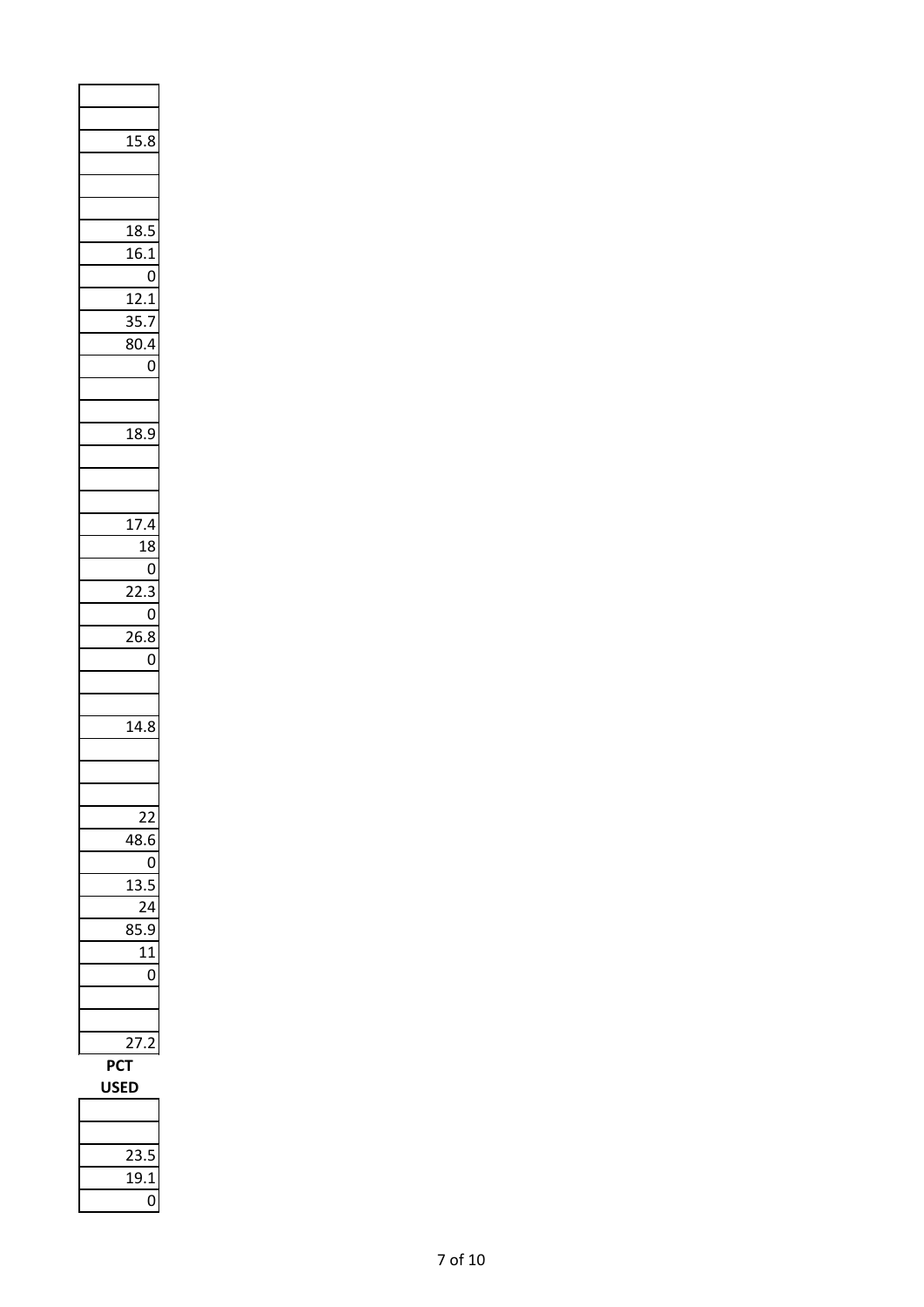| 15.8              |              |
|-------------------|--------------|
|                   |              |
|                   |              |
|                   |              |
| 18.5<br>16.1      |              |
|                   | 0            |
| 12.1              |              |
| 35.7              |              |
| 80.4              | 0            |
|                   |              |
|                   |              |
| 18.9              |              |
|                   |              |
|                   |              |
| 17.4              |              |
| 18                | $\mathbf{O}$ |
| _<br>22.3         |              |
|                   | 0            |
| $\overline{26.8}$ | 0            |
|                   |              |
|                   |              |
| $14.\overline{8}$ |              |
|                   |              |
|                   |              |
|                   |              |
| 18                |              |
| 1                 |              |
|                   |              |
|                   |              |
| ſ                 | Ì            |
|                   |              |
|                   |              |
| Ρſ                |              |
| S<br>E            |              |

-

| 23.5 |
|------|
| 19.1 |
|      |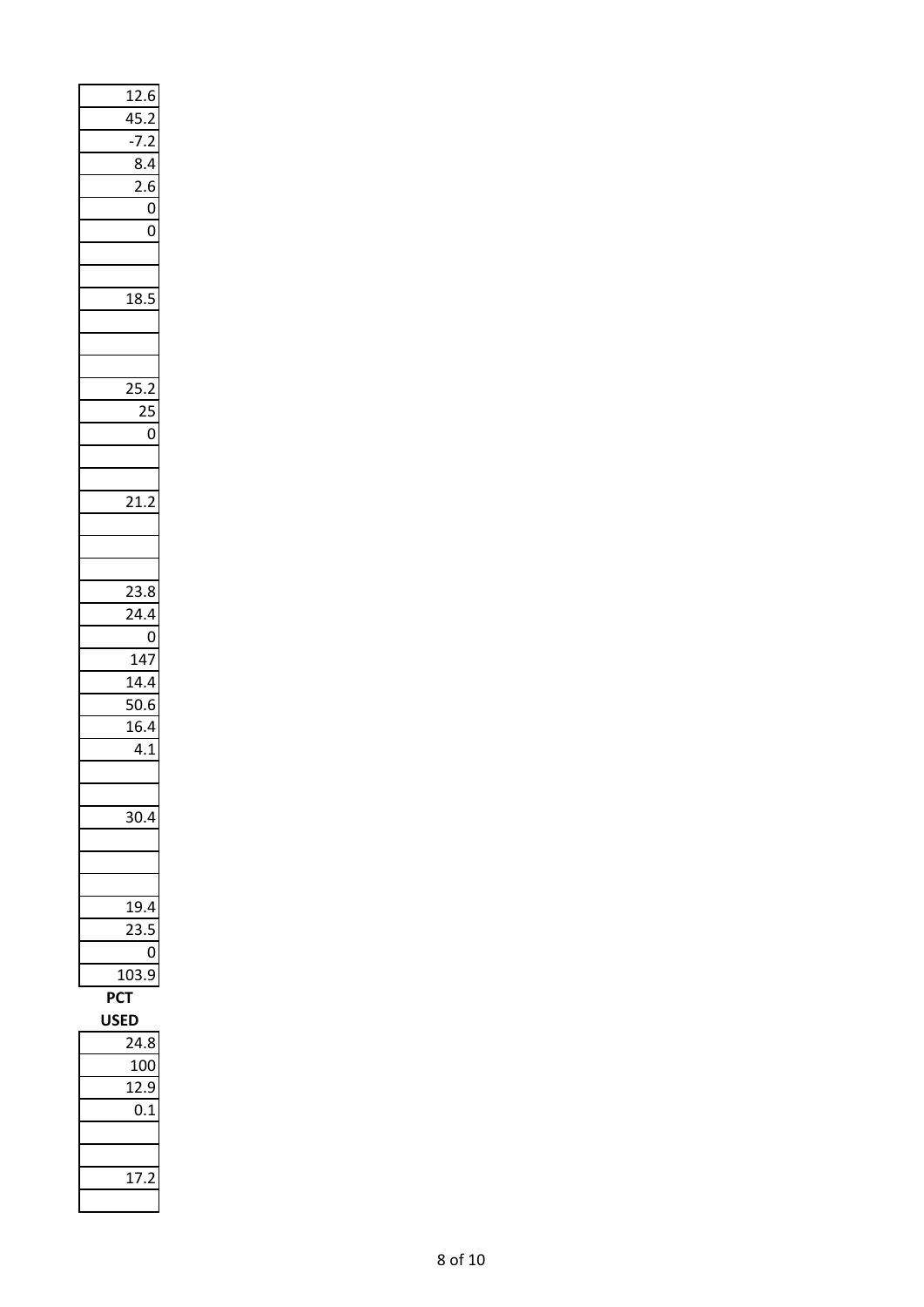| $\overline{12.6}$ |                |
|-------------------|----------------|
|                   |                |
| $\frac{45.2}{ }$  |                |
| $-7.2$            |                |
| 8.4               |                |
| $\frac{1}{2.6}$   |                |
|                   | $\mathbf 0$    |
|                   | 0              |
|                   |                |
|                   |                |
|                   |                |
| 18.5              |                |
|                   |                |
|                   |                |
|                   |                |
| $\frac{1}{25.2}$  |                |
| 25                |                |
|                   | 0              |
|                   |                |
|                   |                |
| 21.2              |                |
|                   |                |
|                   |                |
|                   |                |
| 23.8              |                |
| 24.4              |                |
|                   | $\overline{0}$ |
| 147               |                |
| $\frac{14.4}{ }$  |                |
| 50.6              |                |
| 16.4              |                |
|                   |                |
|                   |                |
|                   | 4.1            |
|                   |                |
|                   |                |
| 80.               |                |
|                   |                |
|                   |                |
|                   |                |
| 19.4              |                |
| š                 |                |
|                   | 0              |
| 103               | $\mathbf$<br>€ |
| <b>PCT</b>        |                |
| <b>USED</b>       |                |
| 4.8               |                |
| 100               |                |
| 2.<br>1           | J              |
| 0.1               |                |
|                   |                |
|                   |                |
| 1.                |                |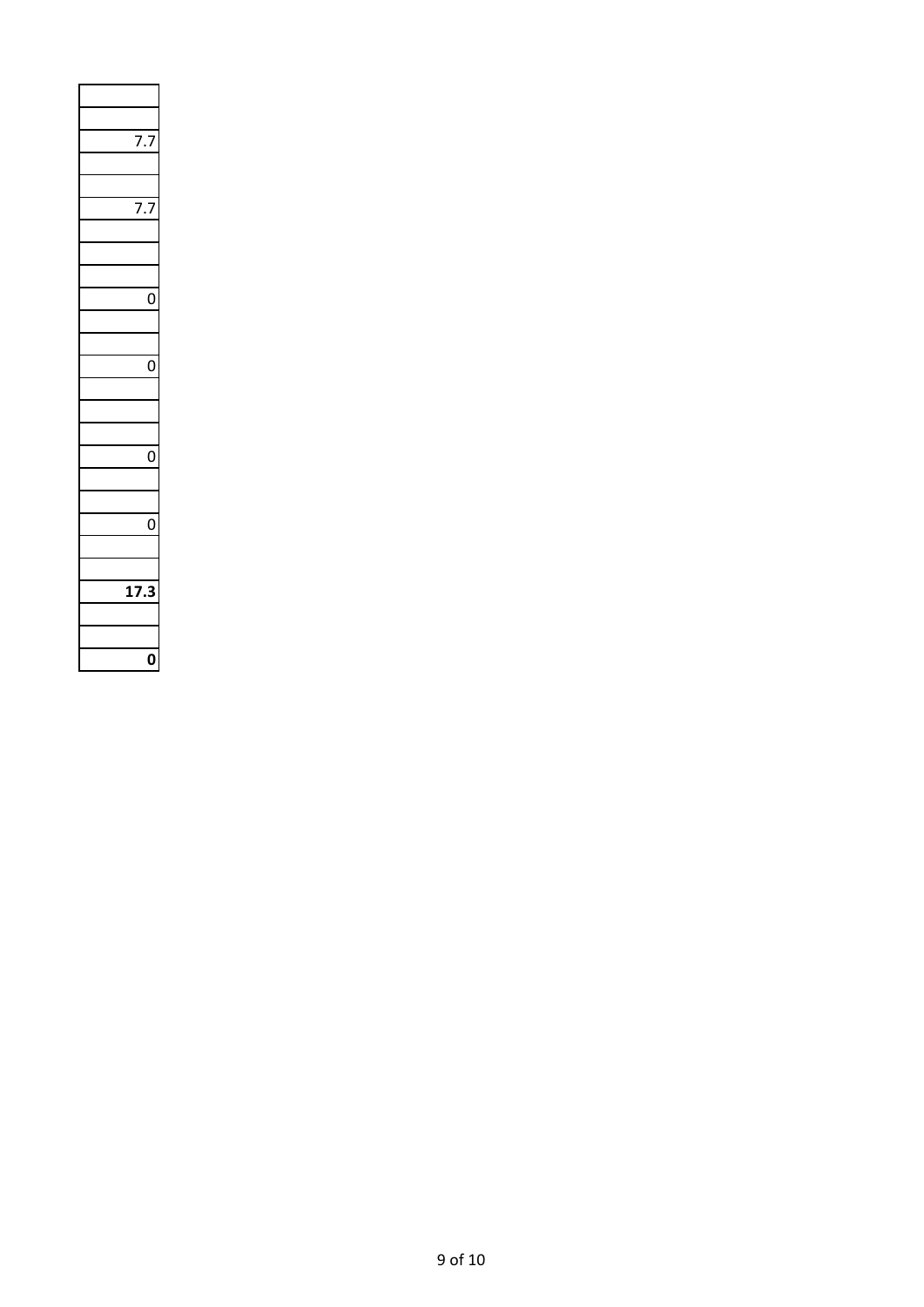| 7<br>7. |
|---------|
|         |
|         |
|         |
|         |
|         |
|         |
| I       |
|         |
|         |
| 0       |
|         |
|         |
|         |
| Ó       |
|         |
|         |
| ſ       |
|         |
|         |
| Í       |
|         |
|         |
|         |